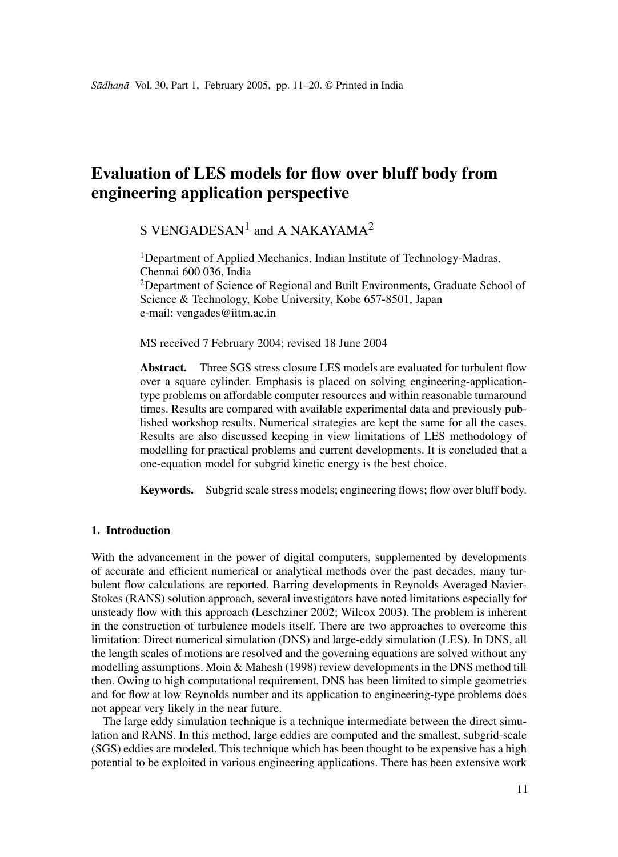# **Evaluation of LES models for flow over bluff body from engineering application perspective**

S VENGADESAN<sup>1</sup> and A NAKAYAMA<sup>2</sup>

<sup>1</sup>Department of Applied Mechanics, Indian Institute of Technology-Madras, Chennai 600 036, India <sup>2</sup>Department of Science of Regional and Built Environments, Graduate School of Science & Technology, Kobe University, Kobe 657-8501, Japan e-mail: vengades@iitm.ac.in

MS received 7 February 2004; revised 18 June 2004

**Abstract.** Three SGS stress closure LES models are evaluated for turbulent flow over a square cylinder. Emphasis is placed on solving engineering-applicationtype problems on affordable computer resources and within reasonable turnaround times. Results are compared with available experimental data and previously published workshop results. Numerical strategies are kept the same for all the cases. Results are also discussed keeping in view limitations of LES methodology of modelling for practical problems and current developments. It is concluded that a one-equation model for subgrid kinetic energy is the best choice.

**Keywords.** Subgrid scale stress models; engineering flows; flow over bluff body.

# **1. Introduction**

With the advancement in the power of digital computers, supplemented by developments of accurate and efficient numerical or analytical methods over the past decades, many turbulent flow calculations are reported. Barring developments in Reynolds Averaged Navier-Stokes (RANS) solution approach, several investigators have noted limitations especially for unsteady flow with this approach (Leschziner 2002; Wilcox 2003). The problem is inherent in the construction of turbulence models itself. There are two approaches to overcome this limitation: Direct numerical simulation (DNS) and large-eddy simulation (LES). In DNS, all the length scales of motions are resolved and the governing equations are solved without any modelling assumptions. Moin & Mahesh (1998) review developments in the DNS method till then. Owing to high computational requirement, DNS has been limited to simple geometries and for flow at low Reynolds number and its application to engineering-type problems does not appear very likely in the near future.

The large eddy simulation technique is a technique intermediate between the direct simulation and RANS. In this method, large eddies are computed and the smallest, subgrid-scale (SGS) eddies are modeled. This technique which has been thought to be expensive has a high potential to be exploited in various engineering applications. There has been extensive work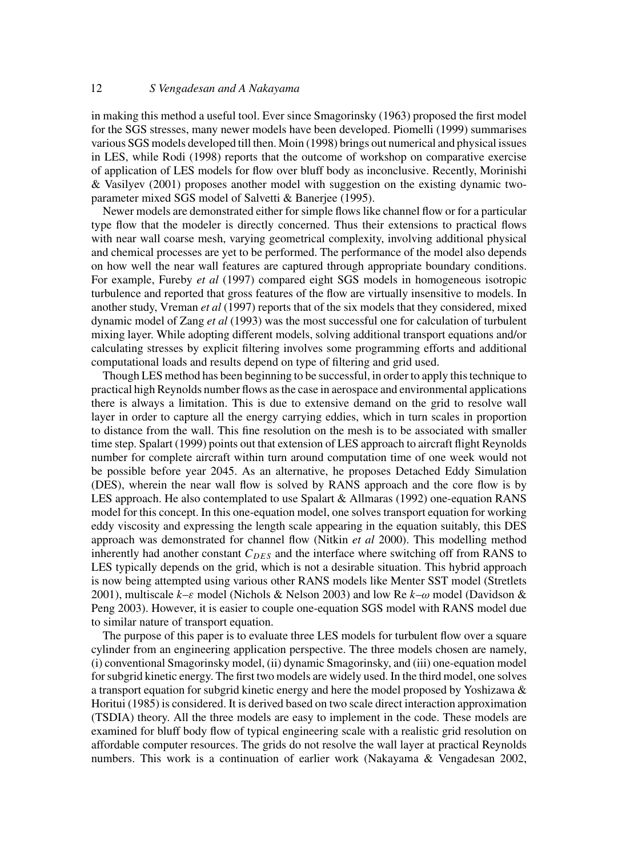# 12 *S Vengadesan and A Nakayama*

in making this method a useful tool. Ever since Smagorinsky (1963) proposed the first model for the SGS stresses, many newer models have been developed. Piomelli (1999) summarises various SGS models developed till then. Moin (1998) brings out numerical and physical issues in LES, while Rodi (1998) reports that the outcome of workshop on comparative exercise of application of LES models for flow over bluff body as inconclusive. Recently, Morinishi & Vasilyev (2001) proposes another model with suggestion on the existing dynamic twoparameter mixed SGS model of Salvetti & Banerjee (1995).

Newer models are demonstrated either for simple flows like channel flow or for a particular type flow that the modeler is directly concerned. Thus their extensions to practical flows with near wall coarse mesh, varying geometrical complexity, involving additional physical and chemical processes are yet to be performed. The performance of the model also depends on how well the near wall features are captured through appropriate boundary conditions. For example, Fureby *et al* (1997) compared eight SGS models in homogeneous isotropic turbulence and reported that gross features of the flow are virtually insensitive to models. In another study, Vreman *et al* (1997) reports that of the six models that they considered, mixed dynamic model of Zang *et al* (1993) was the most successful one for calculation of turbulent mixing layer. While adopting different models, solving additional transport equations and/or calculating stresses by explicit filtering involves some programming efforts and additional computational loads and results depend on type of filtering and grid used.

Though LES method has been beginning to be successful, in order to apply this technique to practical high Reynolds number flows as the case in aerospace and environmental applications there is always a limitation. This is due to extensive demand on the grid to resolve wall layer in order to capture all the energy carrying eddies, which in turn scales in proportion to distance from the wall. This fine resolution on the mesh is to be associated with smaller time step. Spalart (1999) points out that extension of LES approach to aircraft flight Reynolds number for complete aircraft within turn around computation time of one week would not be possible before year 2045. As an alternative, he proposes Detached Eddy Simulation (DES), wherein the near wall flow is solved by RANS approach and the core flow is by LES approach. He also contemplated to use Spalart & Allmaras (1992) one-equation RANS model for this concept. In this one-equation model, one solves transport equation for working eddy viscosity and expressing the length scale appearing in the equation suitably, this DES approach was demonstrated for channel flow (Nitkin *et al* 2000). This modelling method inherently had another constant  $C_{DES}$  and the interface where switching off from RANS to LES typically depends on the grid, which is not a desirable situation. This hybrid approach is now being attempted using various other RANS models like Menter SST model (Stretlets 2001), multiscale *k*–*ε* model (Nichols & Nelson 2003) and low Re *k*–*ω* model (Davidson & Peng 2003). However, it is easier to couple one-equation SGS model with RANS model due to similar nature of transport equation.

The purpose of this paper is to evaluate three LES models for turbulent flow over a square cylinder from an engineering application perspective. The three models chosen are namely, (i) conventional Smagorinsky model, (ii) dynamic Smagorinsky, and (iii) one-equation model for subgrid kinetic energy. The first two models are widely used. In the third model, one solves a transport equation for subgrid kinetic energy and here the model proposed by Yoshizawa & Horitui (1985) is considered. It is derived based on two scale direct interaction approximation (TSDIA) theory. All the three models are easy to implement in the code. These models are examined for bluff body flow of typical engineering scale with a realistic grid resolution on affordable computer resources. The grids do not resolve the wall layer at practical Reynolds numbers. This work is a continuation of earlier work (Nakayama & Vengadesan 2002,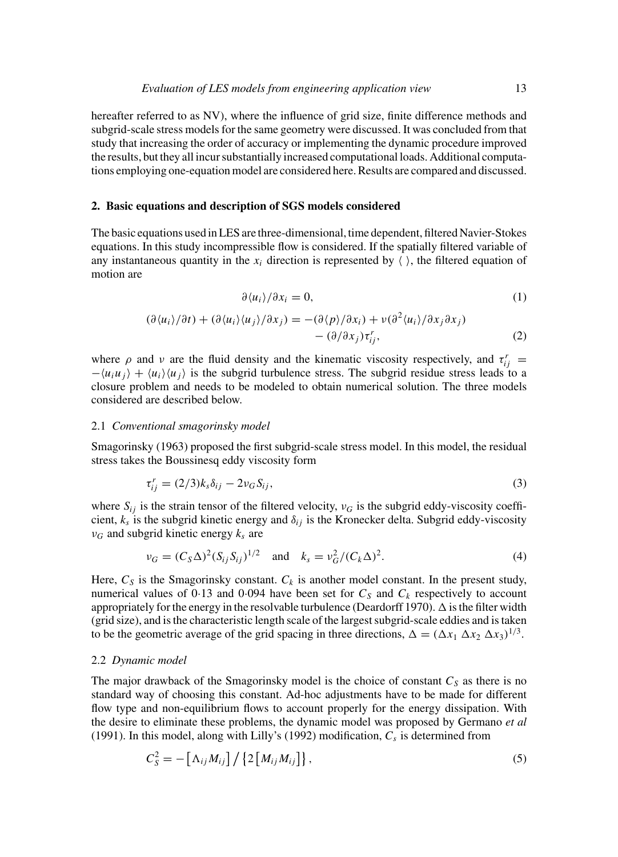hereafter referred to as NV), where the influence of grid size, finite difference methods and subgrid-scale stress models for the same geometry were discussed. It was concluded from that study that increasing the order of accuracy or implementing the dynamic procedure improved the results, but they all incur substantially increased computational loads. Additional computations employing one-equation model are considered here. Results are compared and discussed.

# **2. Basic equations and description of SGS models considered**

The basic equations used in LES are three-dimensional, time dependent, filtered Navier-Stokes equations. In this study incompressible flow is considered. If the spatially filtered variable of any instantaneous quantity in the  $x_i$  direction is represented by  $\langle \rangle$ , the filtered equation of motion are

$$
\partial \langle u_i \rangle / \partial x_i = 0, \tag{1}
$$

$$
(\partial \langle u_i \rangle / \partial t) + (\partial \langle u_i \rangle \langle u_j \rangle / \partial x_j) = -(\partial \langle p \rangle / \partial x_i) + \nu (\partial^2 \langle u_i \rangle / \partial x_j \partial x_j) - (\partial \langle \partial x_j \rangle \tau_{ij}^r, \tag{2}
$$

where  $\rho$  and  $\nu$  are the fluid density and the kinematic viscosity respectively, and  $\tau_{ij}^r$  =  $-\langle u_i u_j \rangle + \langle u_i \rangle \langle u_j \rangle$  is the subgrid turbulence stress. The subgrid residue stress leads to a closure problem and needs to be modeled to obtain numerical solution. The three models considered are described below.

### 2.1 *Conventional smagorinsky model*

Smagorinsky (1963) proposed the first subgrid-scale stress model. In this model, the residual stress takes the Boussinesq eddy viscosity form

$$
\tau_{ij}^r = (2/3)k_s \delta_{ij} - 2\nu_G S_{ij},\tag{3}
$$

where  $S_{ij}$  is the strain tensor of the filtered velocity,  $v_G$  is the subgrid eddy-viscosity coefficient,  $k_s$  is the subgrid kinetic energy and  $\delta_{ij}$  is the Kronecker delta. Subgrid eddy-viscosity *νG* and subgrid kinetic energy *ks* are

$$
\nu_G = (C_S \Delta)^2 (S_{ij} S_{ij})^{1/2} \quad \text{and} \quad k_s = \nu_G^2 / (C_k \Delta)^2. \tag{4}
$$

Here,  $C_S$  is the Smagorinsky constant.  $C_k$  is another model constant. In the present study, numerical values of 0.13 and 0.094 have been set for  $C_S$  and  $C_k$  respectively to account appropriately for the energy in the resolvable turbulence (Deardorff 1970).  $\Delta$  is the filter width (grid size), and is the characteristic length scale of the largest subgrid-scale eddies and is taken to be the geometric average of the grid spacing in three directions,  $\Delta = (\Delta x_1 \Delta x_2 \Delta x_3)^{1/3}$ .

## 2.2 *Dynamic model*

The major drawback of the Smagorinsky model is the choice of constant  $C_S$  as there is no standard way of choosing this constant. Ad-hoc adjustments have to be made for different flow type and non-equilibrium flows to account properly for the energy dissipation. With the desire to eliminate these problems, the dynamic model was proposed by Germano *et al* (1991). In this model, along with Lilly's (1992) modification, *Cs* is determined from

$$
C_S^2 = -\left[\Lambda_{ij} M_{ij}\right] / \left\{2\left[M_{ij} M_{ij}\right]\right\},\tag{5}
$$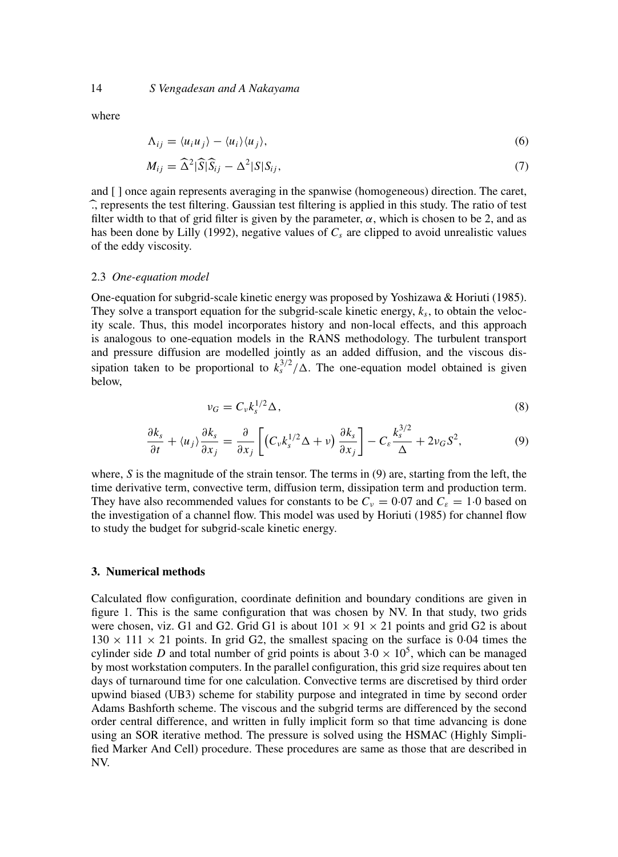where

$$
\Lambda_{ij} = \langle u_i u_j \rangle - \langle u_i \rangle \langle u_j \rangle, \tag{6}
$$

$$
M_{ij} = \widehat{\Delta}^2 |\widehat{S}|\widehat{S}_{ij} - \Delta^2 |S|S_{ij},\tag{7}
$$

and [ ] once again represents averaging in the spanwise (homogeneous) direction. The caret, *.*, represents the test filtering. Gaussian test filtering is applied in this study. The ratio of test filter width to that of grid filter is given by the parameter,  $\alpha$ , which is chosen to be 2, and as has been done by Lilly (1992), negative values of  $C_s$  are clipped to avoid unrealistic values of the eddy viscosity.

#### 2.3 *One-equation model*

One-equation for subgrid-scale kinetic energy was proposed by Yoshizawa & Horiuti (1985). They solve a transport equation for the subgrid-scale kinetic energy,  $k<sub>s</sub>$ , to obtain the velocity scale. Thus, this model incorporates history and non-local effects, and this approach is analogous to one-equation models in the RANS methodology. The turbulent transport and pressure diffusion are modelled jointly as an added diffusion, and the viscous dissipation taken to be proportional to  $k_s^{3/2}/\Delta$ . The one-equation model obtained is given below,

$$
\nu_G = C_{\nu} k_s^{1/2} \Delta,\tag{8}
$$

3*/*2 *s*

$$
\frac{\partial k_s}{\partial t} + \langle u_j \rangle \frac{\partial k_s}{\partial x_j} = \frac{\partial}{\partial x_j} \left[ \left( C_v k_s^{1/2} \Delta + v \right) \frac{\partial k_s}{\partial x_j} \right] - C_s \frac{k_s^{3/2}}{\Delta} + 2v_G S^2, \tag{9}
$$

where, *S* is the magnitude of the strain tensor. The terms in (9) are, starting from the left, the time derivative term, convective term, diffusion term, dissipation term and production term. They have also recommended values for constants to be  $C_v = 0.07$  and  $C_{\epsilon} = 1.0$  based on the investigation of a channel flow. This model was used by Horiuti (1985) for channel flow to study the budget for subgrid-scale kinetic energy.

## **3. Numerical methods**

Calculated flow configuration, coordinate definition and boundary conditions are given in figure 1. This is the same configuration that was chosen by NV. In that study, two grids were chosen, viz. G1 and G2. Grid G1 is about  $101 \times 91 \times 21$  points and grid G2 is about  $130 \times 111 \times 21$  points. In grid G2, the smallest spacing on the surface is 0.04 times the cylinder side *D* and total number of grid points is about  $3.0 \times 10^5$ , which can be managed by most workstation computers. In the parallel configuration, this grid size requires about ten days of turnaround time for one calculation. Convective terms are discretised by third order upwind biased (UB3) scheme for stability purpose and integrated in time by second order Adams Bashforth scheme. The viscous and the subgrid terms are differenced by the second order central difference, and written in fully implicit form so that time advancing is done using an SOR iterative method. The pressure is solved using the HSMAC (Highly Simplified Marker And Cell) procedure. These procedures are same as those that are described in NV.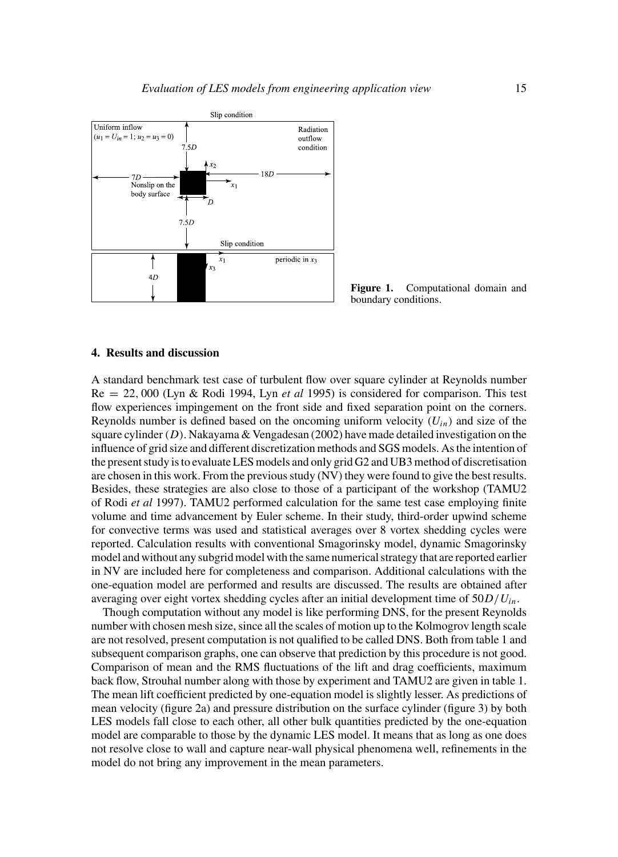

**Figure 1.** Computational domain and boundary conditions.

## **4. Results and discussion**

A standard benchmark test case of turbulent flow over square cylinder at Reynolds number Re <sup>=</sup> <sup>22</sup>*,* 000 (Lyn & Rodi 1994, Lyn *et al* 1995) is considered for comparison. This test flow experiences impingement on the front side and fixed separation point on the corners. Reynolds number is defined based on the oncoming uniform velocity  $(U_{in})$  and size of the square cylinder*(D)*. Nakayama & Vengadesan (2002) have made detailed investigation on the influence of grid size and different discretization methods and SGS models. As the intention of the present study is to evaluate LES models and only grid G2 and UB3 method of discretisation are chosen in this work. From the previous study (NV) they were found to give the best results. Besides, these strategies are also close to those of a participant of the workshop (TAMU2 of Rodi *et al* 1997). TAMU2 performed calculation for the same test case employing finite volume and time advancement by Euler scheme. In their study, third-order upwind scheme for convective terms was used and statistical averages over 8 vortex shedding cycles were reported. Calculation results with conventional Smagorinsky model, dynamic Smagorinsky model and without any subgrid model with the same numerical strategy that are reported earlier in NV are included here for completeness and comparison. Additional calculations with the one-equation model are performed and results are discussed. The results are obtained after averaging over eight vortex shedding cycles after an initial development time of 50*D/Uin*.

Though computation without any model is like performing DNS, for the present Reynolds number with chosen mesh size, since all the scales of motion up to the Kolmogrov length scale are not resolved, present computation is not qualified to be called DNS. Both from table 1 and subsequent comparison graphs, one can observe that prediction by this procedure is not good. Comparison of mean and the RMS fluctuations of the lift and drag coefficients, maximum back flow, Strouhal number along with those by experiment and TAMU2 are given in table 1. The mean lift coefficient predicted by one-equation model is slightly lesser. As predictions of mean velocity (figure 2a) and pressure distribution on the surface cylinder (figure 3) by both LES models fall close to each other, all other bulk quantities predicted by the one-equation model are comparable to those by the dynamic LES model. It means that as long as one does not resolve close to wall and capture near-wall physical phenomena well, refinements in the model do not bring any improvement in the mean parameters.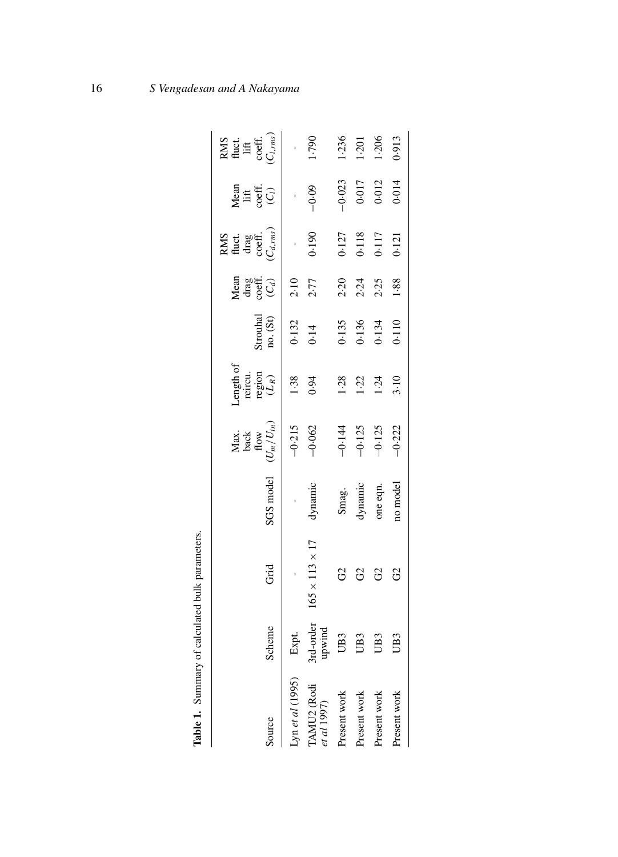| <b>Table 1.</b> Summary of ca |                     | lculated bulk parameters   |                  |                                              |                                                            |                                  |                                                                                         |                                                                                                             |                                                                                            |                                                                                                                         |
|-------------------------------|---------------------|----------------------------|------------------|----------------------------------------------|------------------------------------------------------------|----------------------------------|-----------------------------------------------------------------------------------------|-------------------------------------------------------------------------------------------------------------|--------------------------------------------------------------------------------------------|-------------------------------------------------------------------------------------------------------------------------|
| Source                        | Scheme              | Grid                       | SGS model        | Max.<br>back<br>flow<br>$f_{m}/U_{in}$       | Length of reircu.<br>reircu.<br>region $(L_{\mathcal{R}})$ | Strouhal<br>no. (St)             | $\begin{array}{l}{\bf Mean}\\{\rm drag}\\ {\rm core}\\ {\rm CO}\\ {\rm CO} \end{array}$ | $\begin{array}{lcl} \text{RMS} \\ \text{fluct.} \\ \text{drag} \\ \text{coeff.} \\ (C_{d,rms}) \end{array}$ | $\begin{array}{c} \text{Mean} \\ \text{lift} \\ \text{coeff.} \\ \text{(C_i)} \end{array}$ | $\begin{array}{ll} \mbox{RMS} \\ \mbox{fluct.}\\ \mbox{lift} \\ \mbox{coeff.}\\ \mbox{C1},\scriptsize{rms} \end{array}$ |
| Lyn et al $(1995)$            | Expt.               |                            |                  | $-0.215$<br>$-0.062$                         | $1.38$<br>0.94                                             | $0.132$<br>$0.14$                | $2.10$<br>$2.77$                                                                        |                                                                                                             |                                                                                            |                                                                                                                         |
| TAMU2 (Rodi<br>et al 1997)    | 3rd-order<br>upwind | $165 \times 113 \times 17$ | -<br>dynamic     |                                              |                                                            |                                  |                                                                                         | 0.190                                                                                                       | $-0.09$                                                                                    | 1.790                                                                                                                   |
| Present work                  | UB3                 | $\Im$                      |                  |                                              | 1.28                                                       |                                  |                                                                                         | 0.127                                                                                                       |                                                                                            |                                                                                                                         |
| Present work                  | Ë                   | පි                         | Smag.<br>dynamic |                                              | 1.22                                                       |                                  | $2.30$<br>2.34                                                                          | 0.118                                                                                                       |                                                                                            | $1.236$<br>1.201                                                                                                        |
| Present work                  | Ŝ                   | 8                          | one eqn.         | $-0.145$<br>$-0.125$<br>$-0.125$<br>$-0.222$ | 1.24                                                       | 0.135<br>0.136<br>0.134<br>0.110 | 2.25                                                                                    | 0.117                                                                                                       | $-0.023$<br>0.017<br>0.012<br>0.014                                                        | 1.206                                                                                                                   |
| Present work                  | B                   | පි                         | no model         |                                              | 3.10                                                       |                                  | 1.88                                                                                    | 0.121                                                                                                       |                                                                                            | 0.913                                                                                                                   |

| Cat Cat Cat Cat<br>í<br>;<br>ׇ֠<br>l<br>$\ddot{\dot{\ }}$<br>į<br>married to low |
|----------------------------------------------------------------------------------|
| l                                                                                |
|                                                                                  |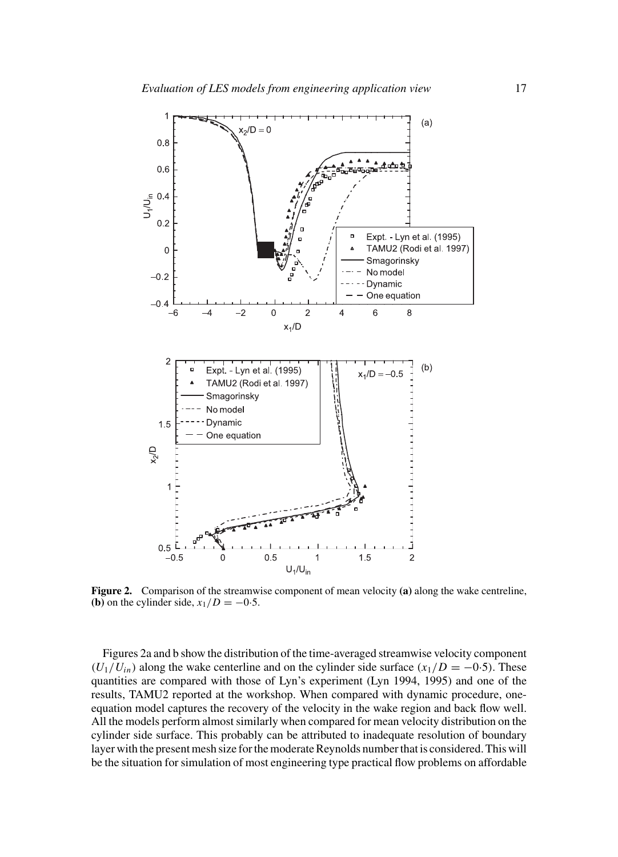

**Figure 2.** Comparison of the streamwise component of mean velocity **(a)** along the wake centreline, **(b)** on the cylinder side,  $x_1/D = -0.5$ .

Figures 2a and b show the distribution of the time-averaged streamwise velocity component  $(U_1/U_{in})$  along the wake centerline and on the cylinder side surface  $(x_1/D = -0.5)$ . These quantities are compared with those of Lyn's experiment (Lyn 1994, 1995) and one of the results, TAMU2 reported at the workshop. When compared with dynamic procedure, oneequation model captures the recovery of the velocity in the wake region and back flow well. All the models perform almost similarly when compared for mean velocity distribution on the cylinder side surface. This probably can be attributed to inadequate resolution of boundary layer with the present mesh size for the moderate Reynolds number that is considered. This will be the situation for simulation of most engineering type practical flow problems on affordable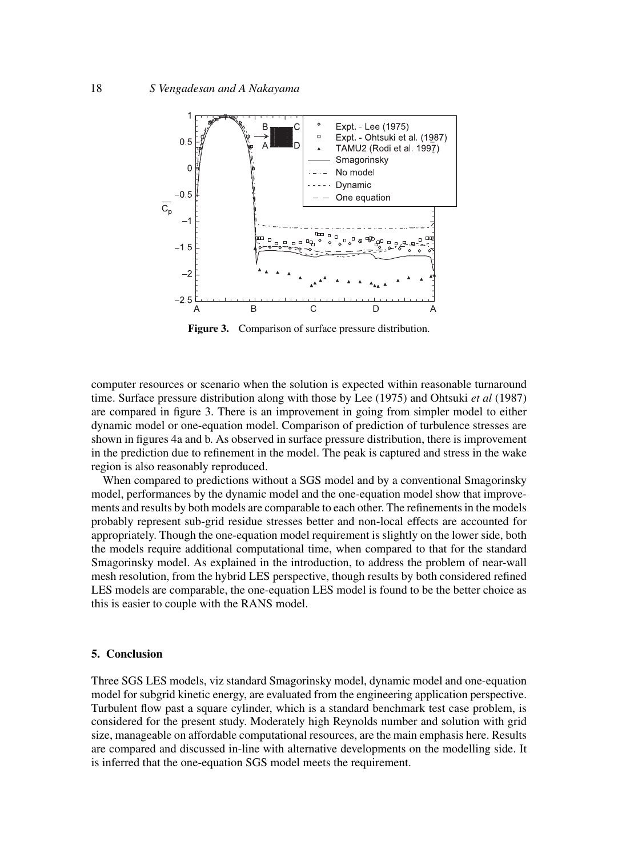

Figure 3. Comparison of surface pressure distribution.

computer resources or scenario when the solution is expected within reasonable turnaround time. Surface pressure distribution along with those by Lee (1975) and Ohtsuki *et al* (1987) are compared in figure 3. There is an improvement in going from simpler model to either dynamic model or one-equation model. Comparison of prediction of turbulence stresses are shown in figures 4a and b. As observed in surface pressure distribution, there is improvement in the prediction due to refinement in the model. The peak is captured and stress in the wake region is also reasonably reproduced.

When compared to predictions without a SGS model and by a conventional Smagorinsky model, performances by the dynamic model and the one-equation model show that improvements and results by both models are comparable to each other. The refinements in the models probably represent sub-grid residue stresses better and non-local effects are accounted for appropriately. Though the one-equation model requirement is slightly on the lower side, both the models require additional computational time, when compared to that for the standard Smagorinsky model. As explained in the introduction, to address the problem of near-wall mesh resolution, from the hybrid LES perspective, though results by both considered refined LES models are comparable, the one-equation LES model is found to be the better choice as this is easier to couple with the RANS model.

## **5. Conclusion**

Three SGS LES models, viz standard Smagorinsky model, dynamic model and one-equation model for subgrid kinetic energy, are evaluated from the engineering application perspective. Turbulent flow past a square cylinder, which is a standard benchmark test case problem, is considered for the present study. Moderately high Reynolds number and solution with grid size, manageable on affordable computational resources, are the main emphasis here. Results are compared and discussed in-line with alternative developments on the modelling side. It is inferred that the one-equation SGS model meets the requirement.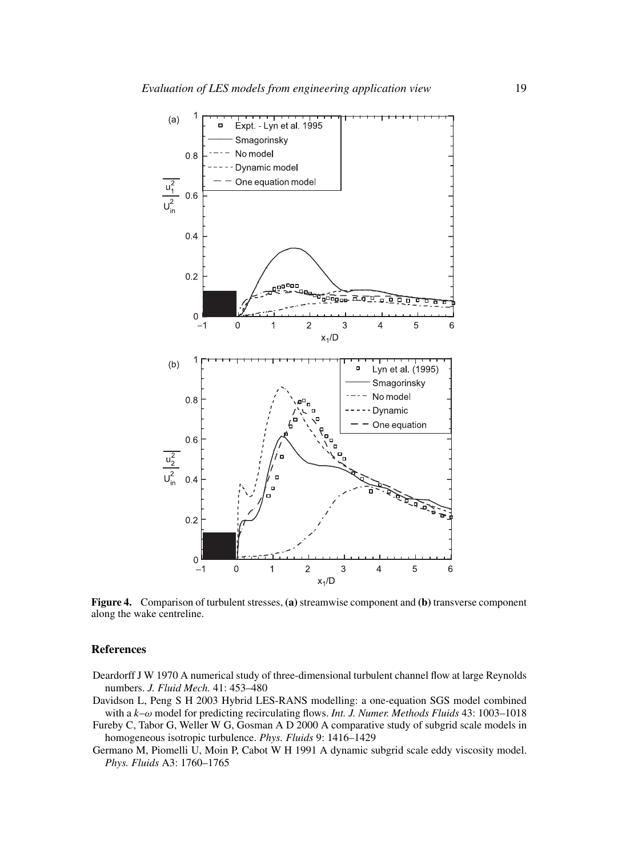

**Figure 4.** Comparison of turbulent stresses, **(a)** streamwise component and **(b)** transverse component along the wake centreline.

# **References**

- Deardorff J W 1970 A numerical study of three-dimensional turbulent channel flow at large Reynolds numbers. *J. Fluid Mech.* 41: 453–480
- Davidson L, Peng S H 2003 Hybrid LES-RANS modelling: a one-equation SGS model combined with a *k*–*ω* model for predicting recirculating flows. *Int. J. Numer. Methods Fluids* 43: 1003–1018
- Fureby C, Tabor G, Weller W G, Gosman A D 2000 A comparative study of subgrid scale models in homogeneous isotropic turbulence. *Phys. Fluids* 9: 1416–1429
- Germano M, Piomelli U, Moin P, Cabot W H 1991 A dynamic subgrid scale eddy viscosity model. *Phys. Fluids* A3: 1760–1765